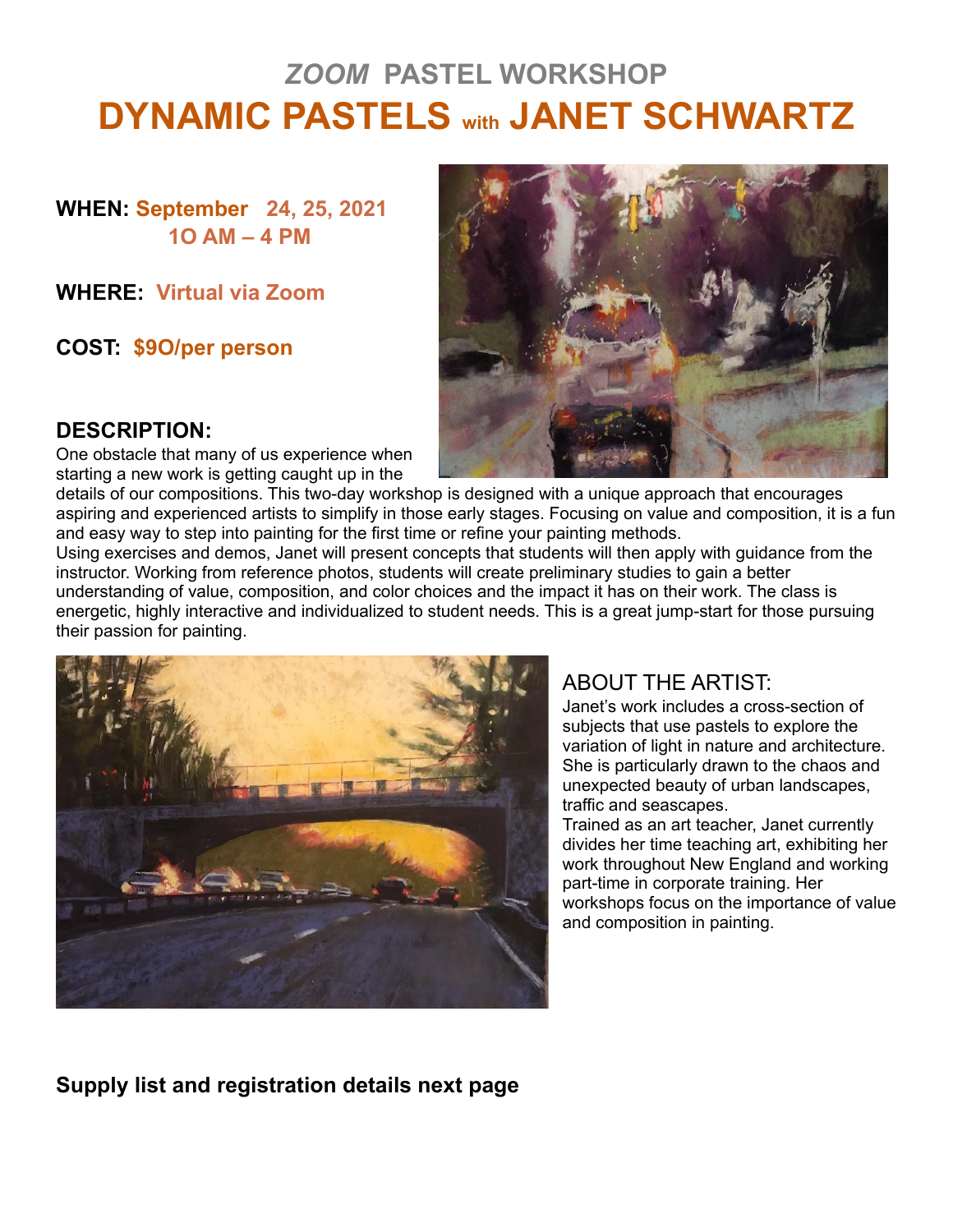# *ZOOM* **PASTEL WORKSHOP DYNAMIC PASTELS with JANET SCHWARTZ**

**WHEN: September 24, 25, 2021 1O AM – 4 PM**

**WHERE: Virtual via Zoom**

**COST: \$9O/per person**



#### **DESCRIPTION:**

One obstacle that many of us experience when starting a new work is getting caught up in the

details of our compositions. This two-day workshop is designed with a unique approach that encourages aspiring and experienced artists to simplify in those early stages. Focusing on value and composition, it is a fun and easy way to step into painting for the first time or refine your painting methods.

Using exercises and demos, Janet will present concepts that students will then apply with guidance from the instructor. Working from reference photos, students will create preliminary studies to gain a better understanding of value, composition, and color choices and the impact it has on their work. The class is energetic, highly interactive and individualized to student needs. This is a great jump-start for those pursuing their passion for painting.



# ABOUT THE ARTIST:

Janet's work includes a cross-section of subjects that use pastels to explore the variation of light in nature and architecture. She is particularly drawn to the chaos and unexpected beauty of urban landscapes, traffic and seascapes.

Trained as an art teacher, Janet currently divides her time teaching art, exhibiting her work throughout New England and working part-time in corporate training. Her workshops focus on the importance of value and composition in painting.

#### **Supply list and registration details next page**